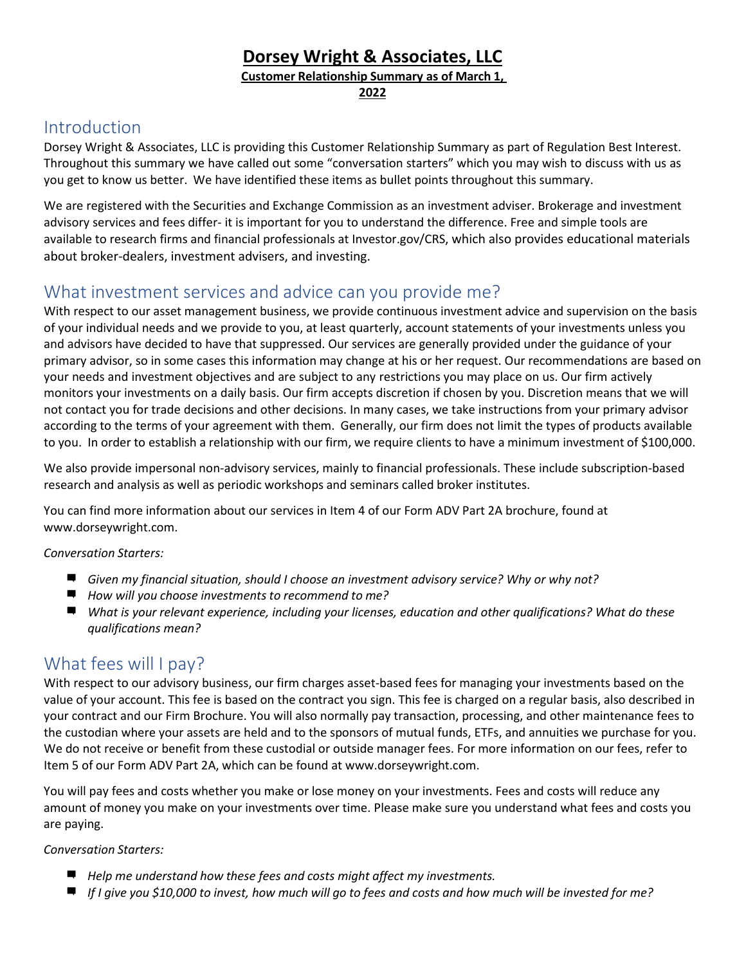### **Dorsey Wright & Associates, LLC**

**Customer Relationship Summary as of March 1,**

**2022**

### Introduction

Dorsey Wright & Associates, LLC is providing this Customer Relationship Summary as part of Regulation Best Interest. Throughout this summary we have called out some "conversation starters" which you may wish to discuss with us as you get to know us better. We have identified these items as bullet points throughout this summary.

We are registered with the Securities and Exchange Commission as an investment adviser. Brokerage and investment advisory services and fees differ- it is important for you to understand the difference. Free and simple tools are available to research firms and financial professionals at Investor.gov/CRS, which also provides educational materials about broker-dealers, investment advisers, and investing.

## What investment services and advice can you provide me?

With respect to our asset management business, we provide continuous investment advice and supervision on the basis of your individual needs and we provide to you, at least quarterly, account statements of your investments unless you and advisors have decided to have that suppressed. Our services are generally provided under the guidance of your primary advisor, so in some cases this information may change at his or her request. Our recommendations are based on your needs and investment objectives and are subject to any restrictions you may place on us. Our firm actively monitors your investments on a daily basis. Our firm accepts discretion if chosen by you. Discretion means that we will not contact you for trade decisions and other decisions. In many cases, we take instructions from your primary advisor according to the terms of your agreement with them. Generally, our firm does not limit the types of products available to you. In order to establish a relationship with our firm, we require clients to have a minimum investment of \$100,000.

We also provide impersonal non-advisory services, mainly to financial professionals. These include subscription-based research and analysis as well as periodic workshops and seminars called broker institutes.

You can find more information about our services in Item 4 of our Form ADV Part 2A brochure, found at [www.dorseywright.com.](http://www.dorseywright.com/)

#### *Conversation Starters:*

- *Given my financial situation, should I choose an investment advisory service? Why or why not?*
- *How will you choose investments to recommend to me?*
- *What is your relevant experience, including your licenses, education and other qualifications? What do these qualifications mean?*

## What fees will I pay?

With respect to our advisory business, our firm charges asset-based fees for managing your investments based on the value of your account. This fee is based on the contract you sign. This fee is charged on a regular basis, also described in your contract and our Firm Brochure. You will also normally pay transaction, processing, and other maintenance fees to the custodian where your assets are held and to the sponsors of mutual funds, ETFs, and annuities we purchase for you. We do not receive or benefit from these custodial or outside manager fees. For more information on our fees, refer to Item 5 of our Form ADV Part 2A, which can be found at [www.dorseywright.com.](http://www.dorseywright.com/)

You will pay fees and costs whether you make or lose money on your investments. Fees and costs will reduce any amount of money you make on your investments over time. Please make sure you understand what fees and costs you are paying.

#### *Conversation Starters:*

- *Help me understand how these fees and costs might affect my investments.*
- If I give you \$10,000 to invest, how much will go to fees and costs and how much will be invested for me?